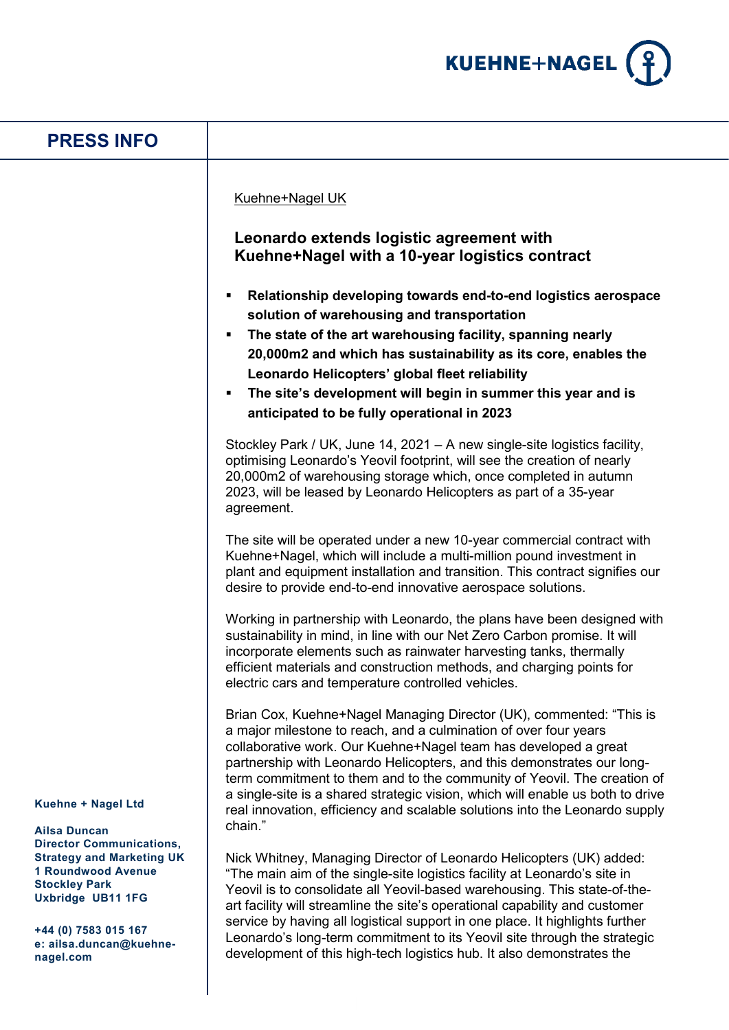

| <b>PRESS INFO</b>                                                                                                                                                                                                                                          |                                                                                                                                                                                                                                                                                                                                                                                                                                                                                                                                                              |
|------------------------------------------------------------------------------------------------------------------------------------------------------------------------------------------------------------------------------------------------------------|--------------------------------------------------------------------------------------------------------------------------------------------------------------------------------------------------------------------------------------------------------------------------------------------------------------------------------------------------------------------------------------------------------------------------------------------------------------------------------------------------------------------------------------------------------------|
|                                                                                                                                                                                                                                                            | Kuehne+Nagel UK<br>Leonardo extends logistic agreement with<br>Kuehne+Nagel with a 10-year logistics contract<br>Relationship developing towards end-to-end logistics aerospace<br>٠<br>solution of warehousing and transportation<br>The state of the art warehousing facility, spanning nearly<br>٠<br>20,000m2 and which has sustainability as its core, enables the<br>Leonardo Helicopters' global fleet reliability<br>The site's development will begin in summer this year and is<br>٠<br>anticipated to be fully operational in 2023                |
|                                                                                                                                                                                                                                                            | Stockley Park / UK, June 14, 2021 - A new single-site logistics facility,<br>optimising Leonardo's Yeovil footprint, will see the creation of nearly<br>20,000m2 of warehousing storage which, once completed in autumn<br>2023, will be leased by Leonardo Helicopters as part of a 35-year<br>agreement.                                                                                                                                                                                                                                                   |
|                                                                                                                                                                                                                                                            | The site will be operated under a new 10-year commercial contract with<br>Kuehne+Nagel, which will include a multi-million pound investment in<br>plant and equipment installation and transition. This contract signifies our<br>desire to provide end-to-end innovative aerospace solutions.                                                                                                                                                                                                                                                               |
| Kuehne + Nagel Ltd<br><b>Ailsa Duncan</b><br><b>Director Communications,</b><br><b>Strategy and Marketing UK</b><br><b>1 Roundwood Avenue</b><br><b>Stockley Park</b><br>Uxbridge UB11 1FG<br>+44 (0) 7583 015 167<br>e: ailsa.duncan@kuehne-<br>nagel.com | Working in partnership with Leonardo, the plans have been designed with<br>sustainability in mind, in line with our Net Zero Carbon promise. It will<br>incorporate elements such as rainwater harvesting tanks, thermally<br>efficient materials and construction methods, and charging points for<br>electric cars and temperature controlled vehicles.                                                                                                                                                                                                    |
|                                                                                                                                                                                                                                                            | Brian Cox, Kuehne+Nagel Managing Director (UK), commented: "This is<br>a major milestone to reach, and a culmination of over four years<br>collaborative work. Our Kuehne+Nagel team has developed a great<br>partnership with Leonardo Helicopters, and this demonstrates our long-<br>term commitment to them and to the community of Yeovil. The creation of<br>a single-site is a shared strategic vision, which will enable us both to drive<br>real innovation, efficiency and scalable solutions into the Leonardo supply                             |
|                                                                                                                                                                                                                                                            | chain."<br>Nick Whitney, Managing Director of Leonardo Helicopters (UK) added:<br>"The main aim of the single-site logistics facility at Leonardo's site in<br>Yeovil is to consolidate all Yeovil-based warehousing. This state-of-the-<br>art facility will streamline the site's operational capability and customer<br>service by having all logistical support in one place. It highlights further<br>Leonardo's long-term commitment to its Yeovil site through the strategic<br>development of this high-tech logistics hub. It also demonstrates the |